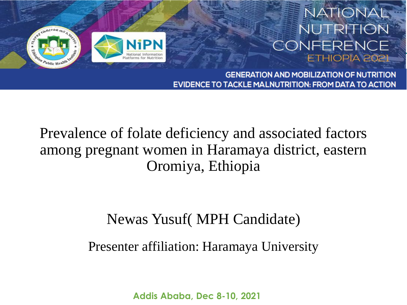

#### **NATIONAL NUTRITION** CONFERENCE ETHIOPIA 2021

**GENERATION AND MOBILIZATION OF NUTRITION EVIDENCE TO TACKLE MALNUTRITION: FROM DATA TO ACTION** 

Prevalence of folate deficiency and associated factors among pregnant women in Haramaya district, eastern Oromiya, Ethiopia

#### Newas Yusuf( MPH Candidate)

Presenter affiliation: Haramaya University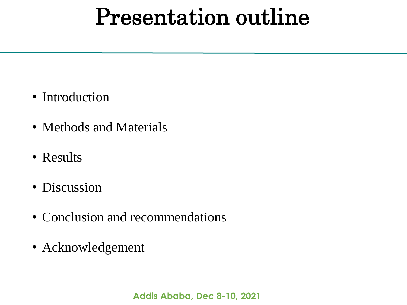# Presentation outline

- Introduction
- Methods and Materials
- Results
- Discussion
- Conclusion and recommendations
- Acknowledgement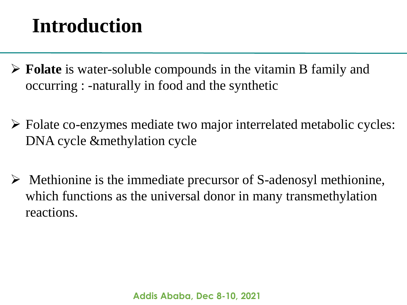- **Folate** is water-soluble compounds in the vitamin B family and occurring : -naturally in food and the synthetic
- Folate co-enzymes mediate two major interrelated metabolic cycles: DNA cycle &methylation cycle
- $\triangleright$  Methionine is the immediate precursor of S-adenosyl methionine, which functions as the universal donor in many transmethylation reactions.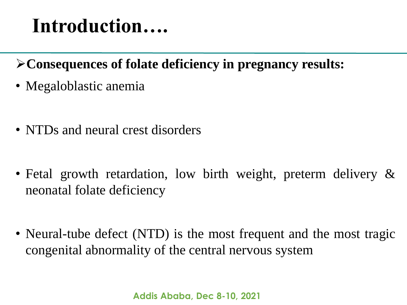- **Consequences of folate deficiency in pregnancy results:**
- Megaloblastic anemia
- NTDs and neural crest disorders
- Fetal growth retardation, low birth weight, preterm delivery & neonatal folate deficiency
- Neural-tube defect (NTD) is the most frequent and the most tragic congenital abnormality of the central nervous system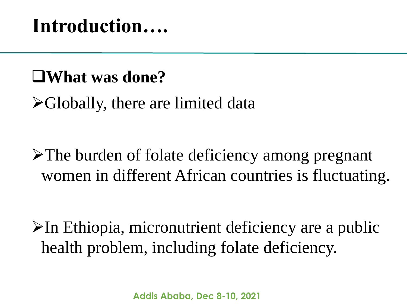### **What was done?**

Globally, there are limited data

The burden of folate deficiency among pregnant women in different African countries is fluctuating.

 $\triangleright$ In Ethiopia, micronutrient deficiency are a public health problem, including folate deficiency.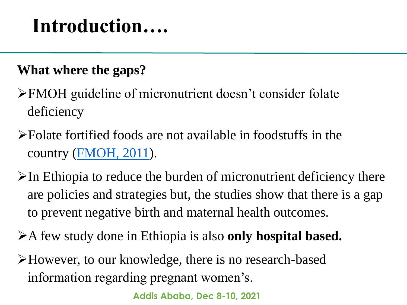#### **What where the gaps?**

- FMOH guideline of micronutrient doesn't consider folate deficiency
- Folate fortified foods are not available in foodstuffs in the country (FMOH, 2011).
- $\triangleright$ In Ethiopia to reduce the burden of micronutrient deficiency there are policies and strategies but, the studies show that there is a gap to prevent negative birth and maternal health outcomes.
- A few study done in Ethiopia is also **only hospital based.**
- However, to our knowledge, there is no research-based information regarding pregnant women's.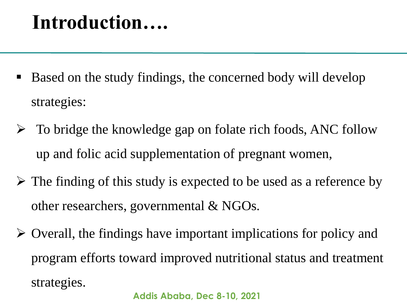- Based on the study findings, the concerned body will develop strategies:
- $\triangleright$  To bridge the knowledge gap on folate rich foods, ANC follow up and folic acid supplementation of pregnant women,
- $\triangleright$  The finding of this study is expected to be used as a reference by other researchers, governmental & NGOs.
- $\triangleright$  Overall, the findings have important implications for policy and program efforts toward improved nutritional status and treatment strategies.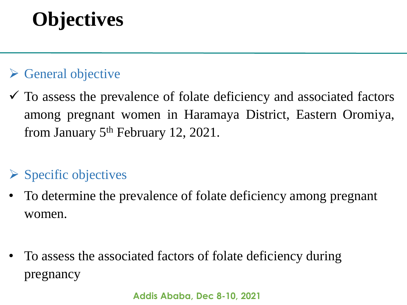# **Objectives**

#### $\triangleright$  General objective

 $\checkmark$  To assess the prevalence of folate deficiency and associated factors among pregnant women in Haramaya District, Eastern Oromiya, from January 5<sup>th</sup> February 12, 2021.

#### $\triangleright$  Specific objectives

- To determine the prevalence of folate deficiency among pregnant women.
- To assess the associated factors of folate deficiency during pregnancy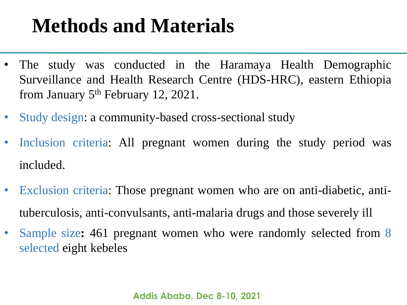# **Methods and Materials**

- The study was conducted in the Haramaya Health Demographic Surveillance and Health Research Centre (HDS-HRC), eastern Ethiopia from January 5<sup>th</sup> February 12, 2021.
- Study design: a community-based cross-sectional study
- Inclusion criteria: All pregnant women during the study period was included.
- Exclusion criteria: Those pregnant women who are on anti-diabetic, antituberculosis, anti-convulsants, anti-malaria drugs and those severely ill
- Sample size**:** 461 pregnant women who were randomly selected from 8 selected eight kebeles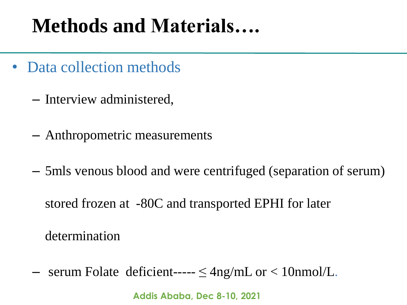# **Methods and Materials….**

- Data collection methods
	- Interview administered,
	- Anthropometric measurements
	- 5mls venous blood and were centrifuged (separation of serum)

stored frozen at -80C and transported EPHI for later

determination

– serum Folate deficient-----  $\leq$  4ng/mL or  $<$  10nmol/L.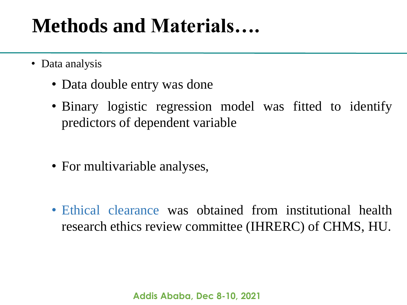# **Methods and Materials….**

- Data analysis
	- Data double entry was done
	- Binary logistic regression model was fitted to identify predictors of dependent variable
	- For multivariable analyses,
	- Ethical clearance was obtained from institutional health research ethics review committee (IHRERC) of CHMS, HU.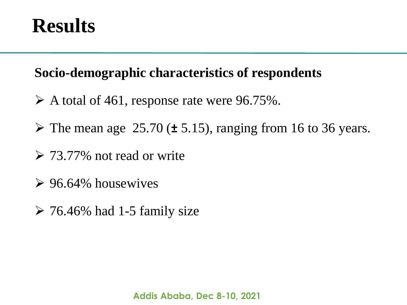### **Results**

#### **Socio-demographic characteristics of respondents**

- $\triangleright$  A total of 461, response rate were 96.75%.
- The mean age 25.70 (**±** 5.15), ranging from 16 to 36 years.
- $\geq 73.77\%$  not read or write
- $\geq 96.64\%$  housewives
- $\geq 76.46\%$  had 1-5 family size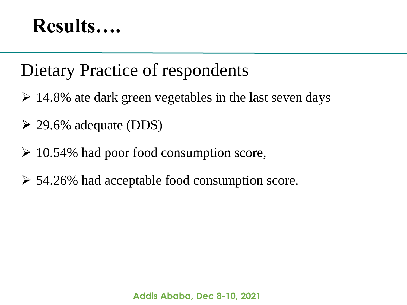## **Results….**

### Dietary Practice of respondents

- $\geq 14.8\%$  ate dark green vegetables in the last seven days
- $\geq$  29.6% adequate (DDS)
- $\geq 10.54\%$  had poor food consumption score,
- $\geq 54.26\%$  had acceptable food consumption score.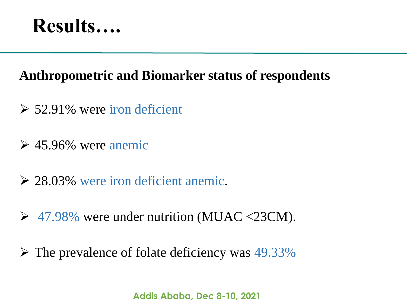

#### **Anthropometric and Biomarker status of respondents**

- $\geq 52.91\%$  were iron deficient
- $\geq 45.96\%$  were anemic
- 28.03% were iron deficient anemic.
- $\geq$  47.98% were under nutrition (MUAC <23CM).
- $\triangleright$  The prevalence of folate deficiency was 49.33%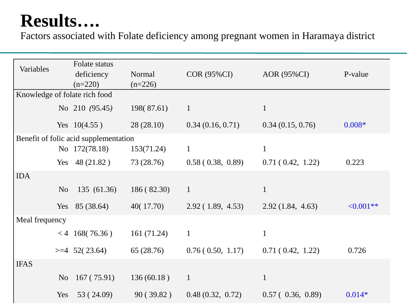### **Results….**

Factors associated with Folate deficiency among pregnant women in Haramaya district

| Variables                             |                | Folate status    |             |                    |                  |                |
|---------------------------------------|----------------|------------------|-------------|--------------------|------------------|----------------|
|                                       |                | deficiency       | Normal      | <b>COR (95%CI)</b> | AOR (95%CI)      | P-value        |
|                                       |                | $(n=220)$        | $(n=226)$   |                    |                  |                |
| Knowledge of folate rich food         |                |                  |             |                    |                  |                |
|                                       |                | No 210 (95.45)   | 198(87.61)  | $\mathbf{1}$       | $\mathbf{1}$     |                |
|                                       |                | Yes $10(4.55)$   | 28(28.10)   | 0.34(0.16, 0.71)   | 0.34(0.15, 0.76) | $0.008*$       |
| Benefit of folic acid supplementation |                |                  |             |                    |                  |                |
|                                       |                | No 172(78.18)    | 153(71.24)  | $\mathbf{1}$       | $\mathbf{1}$     |                |
|                                       |                | Yes $48(21.82)$  | 73 (28.76)  | 0.58(0.38, 0.89)   | 0.71(0.42, 1.22) | 0.223          |
| <b>IDA</b>                            |                |                  |             |                    |                  |                |
|                                       | N <sub>o</sub> | 135 (61.36)      | 186(82.30)  | $\mathbf{1}$       | $\mathbf{1}$     |                |
|                                       |                | Yes $85(38.64)$  | 40(17.70)   | 2.92(1.89, 4.53)   | 2.92(1.84, 4.63) | $\leq 0.001**$ |
| Meal frequency                        |                |                  |             |                    |                  |                |
|                                       |                | $< 4$ 168(76.36) | 161 (71.24) | $\mathbf{1}$       | $\mathbf{1}$     |                |
|                                       |                | $>=4$ 52(23.64)  | 65(28.76)   | 0.76(0.50, 1.17)   | 0.71(0.42, 1.22) | 0.726          |
| <b>IFAS</b>                           |                |                  |             |                    |                  |                |
|                                       | N <sub>o</sub> | 167(75.91)       | 136(60.18)  | $\mathbf{1}$       | $\mathbf{1}$     |                |
|                                       | Yes            | 53 (24.09)       | 90(39.82)   | 0.48(0.32, 0.72)   | 0.57(0.36, 0.89) | $0.014*$       |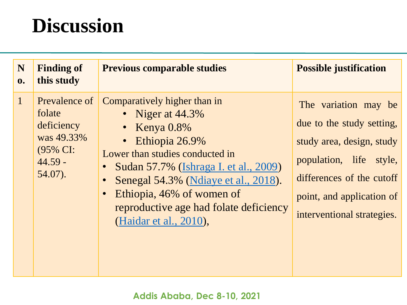## **Discussion**

| N<br>$\mathbf{0}$ . | <b>Finding of</b><br>this study                                                            | <b>Previous comparable studies</b>                                                                                                                                                                                                                                                                                   | <b>Possible justification</b>                                                                                                                                                                     |
|---------------------|--------------------------------------------------------------------------------------------|----------------------------------------------------------------------------------------------------------------------------------------------------------------------------------------------------------------------------------------------------------------------------------------------------------------------|---------------------------------------------------------------------------------------------------------------------------------------------------------------------------------------------------|
| $\vert 1 \vert$     | Prevalence of<br>folate<br>deficiency<br>was 49.33%<br>(95% CI:<br>$44.59 -$<br>$54.07$ ). | Comparatively higher than in<br>• Niger at $44.3\%$<br>• Kenya $0.8\%$<br>Ethiopia 26.9%<br>Lower than studies conducted in<br><b>Sudan 57.7% (Ishraga I. et al., 2009)</b><br>Senegal 54.3% (Ndiaye et al., 2018).<br>Ethiopia, 46% of women of<br>reproductive age had folate deficiency<br>(Haidar et al., 2010), | The variation may be<br>due to the study setting,<br>study area, design, study<br>population, life style,<br>differences of the cutoff<br>point, and application of<br>interventional strategies. |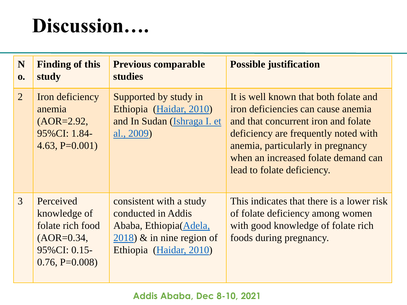# **Discussion….**

| N<br>0.        | <b>Finding of this</b><br>study                                                                  | <b>Previous comparable</b><br><b>studies</b>                                                                                        | <b>Possible justification</b>                                                                                                                                                                                                                                        |
|----------------|--------------------------------------------------------------------------------------------------|-------------------------------------------------------------------------------------------------------------------------------------|----------------------------------------------------------------------------------------------------------------------------------------------------------------------------------------------------------------------------------------------------------------------|
| $\overline{2}$ | Iron deficiency<br>anemia<br>$(AOR=2.92,$<br>95%CI: 1.84-<br>$4.63, P=0.001$                     | Supported by study in<br>Ethiopia (Haidar, 2010)<br>and In Sudan (Ishraga I. et<br>al., 2009)                                       | It is well known that both folate and<br>iron deficiencies can cause anemia<br>and that concurrent iron and folate<br>deficiency are frequently noted with<br>anemia, particularly in pregnancy<br>when an increased folate demand can<br>lead to folate deficiency. |
| $\overline{3}$ | Perceived<br>knowledge of<br>folate rich food<br>$(AOR=0.34,$<br>95%CI: 0.15-<br>$0.76, P=0.008$ | consistent with a study<br>conducted in Addis<br>Ababa, Ethiopia (Adela,<br>$2018$ ) & in nine region of<br>Ethiopia (Haidar, 2010) | This indicates that there is a lower risk<br>of folate deficiency among women<br>with good knowledge of folate rich<br>foods during pregnancy.                                                                                                                       |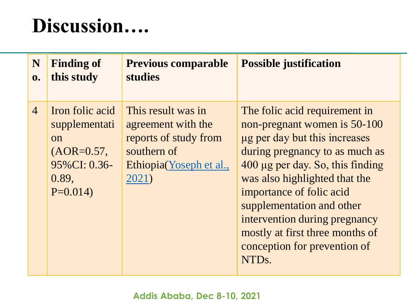## **Discussion….**

| N              | <b>Finding of</b>                                                                                    | <b>Previous comparable</b>                                                                                           | <b>Possible justification</b>                                                                                                                                                                                                                                                                                                                                                            |
|----------------|------------------------------------------------------------------------------------------------------|----------------------------------------------------------------------------------------------------------------------|------------------------------------------------------------------------------------------------------------------------------------------------------------------------------------------------------------------------------------------------------------------------------------------------------------------------------------------------------------------------------------------|
| 0.             | this study                                                                                           | <b>studies</b>                                                                                                       |                                                                                                                                                                                                                                                                                                                                                                                          |
| $\overline{4}$ | Iron folic acid<br>supplementati<br><b>on</b><br>$(AOR=0.57,$<br>95% CI: 0.36-<br>0.89,<br>$P=0.014$ | This result was in<br>agreement with the<br>reports of study from<br>southern of<br>Ethiopia(Yoseph et al.,<br>2021) | The folic acid requirement in<br>non-pregnant women is 50-100<br>ug per day but this increases<br>during pregnancy to as much as<br>400 µg per day. So, this finding<br>was also highlighted that the<br>importance of folic acid<br>supplementation and other<br>intervention during pregnancy<br>mostly at first three months of<br>conception for prevention of<br>NTD <sub>s</sub> . |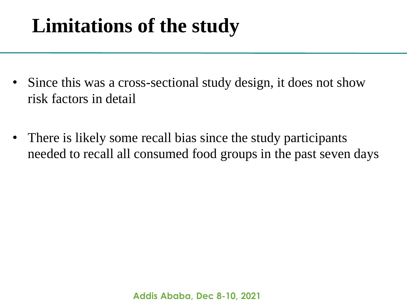# **Limitations of the study**

- Since this was a cross-sectional study design, it does not show risk factors in detail
- There is likely some recall bias since the study participants needed to recall all consumed food groups in the past seven days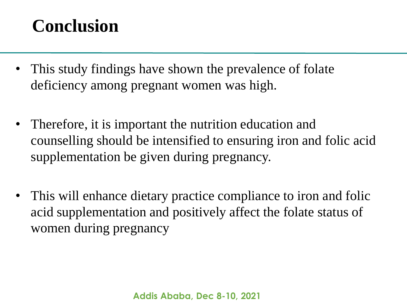### **Conclusion**

- This study findings have shown the prevalence of folate deficiency among pregnant women was high.
- Therefore, it is important the nutrition education and counselling should be intensified to ensuring iron and folic acid supplementation be given during pregnancy.
- This will enhance dietary practice compliance to iron and folic acid supplementation and positively affect the folate status of women during pregnancy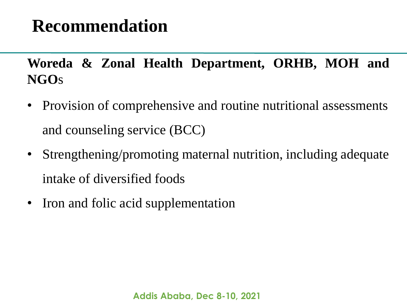### **Recommendation**

**Woreda & Zonal Health Department, ORHB, MOH and NGO**s

- Provision of comprehensive and routine nutritional assessments and counseling service (BCC)
- Strengthening/promoting maternal nutrition, including adequate intake of diversified foods
- Iron and folic acid supplementation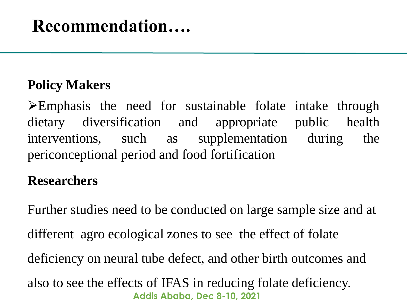### **Recommendation….**

#### **Policy Makers**

Emphasis the need for sustainable folate intake through dietary diversification and appropriate public health interventions, such as supplementation during the periconceptional period and food fortification

#### **Researchers**

**Addis Ababa, Dec 8-10, 2021** Further studies need to be conducted on large sample size and at different agro ecological zones to see the effect of folate deficiency on neural tube defect, and other birth outcomes and also to see the effects of IFAS in reducing folate deficiency.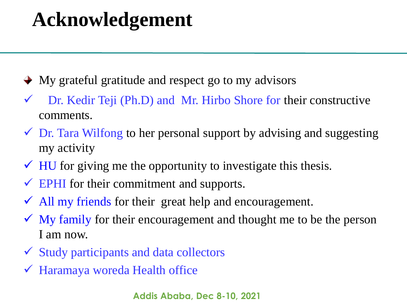### **Acknowledgement**

- $\rightarrow$  My grateful gratitude and respect go to my advisors
- $\checkmark$  Dr. Kedir Teji (Ph.D) and Mr. Hirbo Shore for their constructive comments.
- $\checkmark$  Dr. Tara Wilfong to her personal support by advising and suggesting my activity
- $\checkmark$  HU for giving me the opportunity to investigate this thesis.
- $\checkmark$  EPHI for their commitment and supports.
- $\checkmark$  All my friends for their great help and encouragement.
- $\checkmark$  My family for their encouragement and thought me to be the person I am now.
- $\checkmark$  Study participants and data collectors
- Haramaya woreda Health office